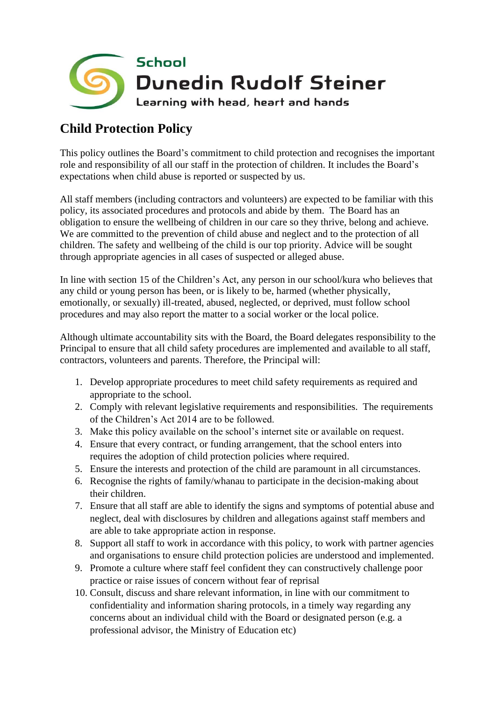

## **Child Protection Policy**

This policy outlines the Board's commitment to child protection and recognises the important role and responsibility of all our staff in the protection of children. It includes the Board's expectations when child abuse is reported or suspected by us.

All staff members (including contractors and volunteers) are expected to be familiar with this policy, its associated procedures and protocols and abide by them. The Board has an obligation to ensure the wellbeing of children in our care so they thrive, belong and achieve. We are committed to the prevention of child abuse and neglect and to the protection of all children. The safety and wellbeing of the child is our top priority. Advice will be sought through appropriate agencies in all cases of suspected or alleged abuse.

In line with section 15 of the Children's Act, any person in our school/kura who believes that any child or young person has been, or is likely to be, harmed (whether physically, emotionally, or sexually) ill-treated, abused, neglected, or deprived, must follow school procedures and may also report the matter to a social worker or the local police.

Although ultimate accountability sits with the Board, the Board delegates responsibility to the Principal to ensure that all child safety procedures are implemented and available to all staff, contractors, volunteers and parents. Therefore, the Principal will:

- 1. Develop appropriate procedures to meet child safety requirements as required and appropriate to the school.
- 2. Comply with relevant legislative requirements and responsibilities. The requirements of the Children's Act 2014 are to be followed.
- 3. Make this policy available on the school's internet site or available on request.
- 4. Ensure that every contract, or funding arrangement, that the school enters into requires the adoption of child protection policies where required.
- 5. Ensure the interests and protection of the child are paramount in all circumstances.
- 6. Recognise the rights of family/whanau to participate in the decision-making about their children.
- 7. Ensure that all staff are able to identify the signs and symptoms of potential abuse and neglect, deal with disclosures by children and allegations against staff members and are able to take appropriate action in response.
- 8. Support all staff to work in accordance with this policy, to work with partner agencies and organisations to ensure child protection policies are understood and implemented.
- 9. Promote a culture where staff feel confident they can constructively challenge poor practice or raise issues of concern without fear of reprisal
- 10. Consult, discuss and share relevant information, in line with our commitment to confidentiality and information sharing protocols, in a timely way regarding any concerns about an individual child with the Board or designated person (e.g. a professional advisor, the Ministry of Education etc)